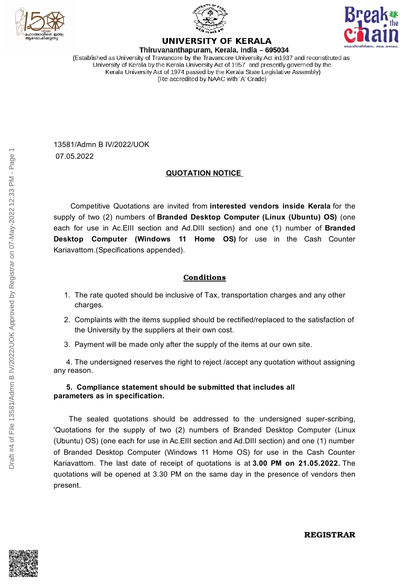





## **UNIVERSITY OF KERALA**

Thiruvananthapuram, Kerala, India - 695034 (Established as University of Travancore by the Travancore University Act in 1937 and reconstituted as University of Kerala by the Kerala University Act of 1957 and presently governed by the Kerala University Act of 1974 passed by the Kerala State Legislative Assembly) (Re-accredited by NAAC with 'A' Grade)

13581/Admn B IV/2022/UOK 07.05.2022

### **QUOTATION NOTICE**

Competitive Quotations are invited from **interested vendors inside Kerala** for the supply of two (2) numbers of **Branded Desktop Computer (Linux (Ubuntu) OS)** (one each for use in Ac.EIII section and Ad.DIII section) and one (1) number of **Branded Desktop Computer (Windows 11 Home OS)** for use in the Cash Counter Kariavattom.(Specifications appended).

### **Conditions**

- 1. The rate quoted should be inclusive of Tax, transportation charges and any other charges.
- 2. Complaints with the items supplied should be rectified/replaced to the satisfaction of the University by the suppliers at their own cost.
- 3. Payment will be made only after the supply of the items at our own site.

4. The undersigned reserves the right to reject /accept any quotation without assigning any reason.

#### **5. Compliance statement should be submitted that includes all parameters as in specification.**

The sealed quotations should be addressed to the undersigned super-scribing, 'Quotations for the supply of two (2) numbers of Branded Desktop Computer (Linux (Ubuntu) OS) (one each for use in Ac.EIII section and Ad.DIII section) and one (1) number of Branded Desktop Computer (Windows 11 Home OS) for use in the Cash Counter Kariavattom. The last date of receipt of quotations is at **3.00 PM on 21.05.2022.** The quotations will be opened at 3.30 PM on the same day in the presence of vendors then present.



**REGISTRAR**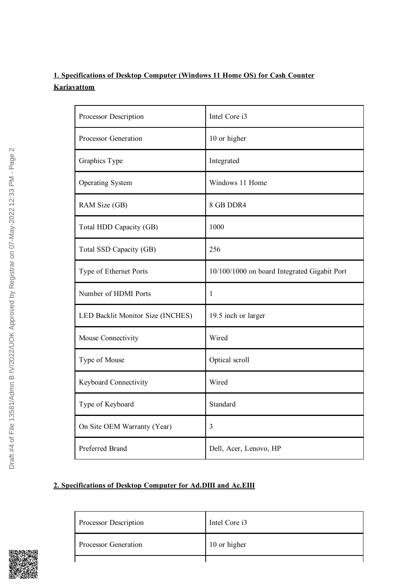### **1. Specifications of Desktop Computer (Windows 11 Home OS) for Cash Counter Kariavattom**

| Processor Description             | Intel Core i3                                |
|-----------------------------------|----------------------------------------------|
| Processor Generation              | 10 or higher                                 |
| Graphics Type                     | Integrated                                   |
| <b>Operating System</b>           | Windows 11 Home                              |
| RAM Size (GB)                     | 8 GB DDR4                                    |
| Total HDD Capacity (GB)           | 1000                                         |
| Total SSD Capacity (GB)           | 256                                          |
| Type of Ethernet Ports            | 10/100/1000 on board Integrated Gigabit Port |
| Number of HDMI Ports              | 1                                            |
| LED Backlit Monitor Size (INCHES) | 19.5 inch or larger                          |
| Mouse Connectivity                | Wired                                        |
| Type of Mouse                     | Optical scroll                               |
| Keyboard Connectivity             | Wired                                        |
| Type of Keyboard                  | Standard                                     |
| On Site OEM Warranty (Year)       | 3                                            |
| Preferred Brand                   | Dell, Acer, Lenovo, HP                       |

### **2. Specifications of Desktop Computer for Ad.DIII and Ac.EIII**



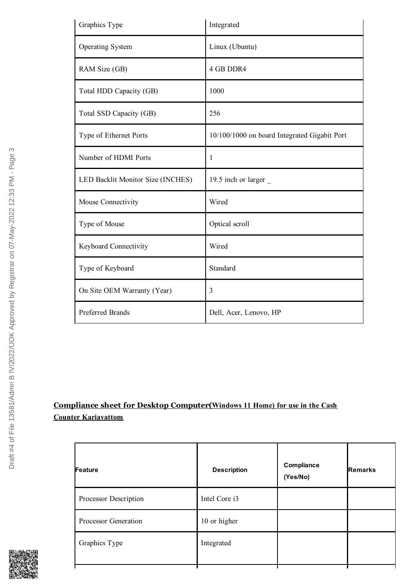| Graphics Type                     | Integrated                                   |
|-----------------------------------|----------------------------------------------|
| <b>Operating System</b>           | Linux (Ubuntu)                               |
| RAM Size (GB)                     | 4 GB DDR4                                    |
| Total HDD Capacity (GB)           | 1000                                         |
| Total SSD Capacity (GB)           | 256                                          |
| Type of Ethernet Ports            | 10/100/1000 on board Integrated Gigabit Port |
| Number of HDMI Ports              | 1                                            |
| LED Backlit Monitor Size (INCHES) | 19.5 inch or larger                          |
| Mouse Connectivity                | Wired                                        |
| Type of Mouse                     | Optical scroll                               |
| Keyboard Connectivity             | Wired                                        |
| Type of Keyboard                  | Standard                                     |
| On Site OEM Warranty (Year)       | 3                                            |
| <b>Preferred Brands</b>           | Dell, Acer, Lenovo, HP                       |

# **Compliance sheet for Desktop Computer(Windows 11 Home) for use in the Cash Counter Kariavattom**

| Feature               | <b>Description</b> | Compliance<br>(Yes/No) | <b>Remarks</b> |
|-----------------------|--------------------|------------------------|----------------|
| Processor Description | Intel Core i3      |                        |                |
| Processor Generation  | 10 or higher       |                        |                |
| Graphics Type         | Integrated         |                        |                |



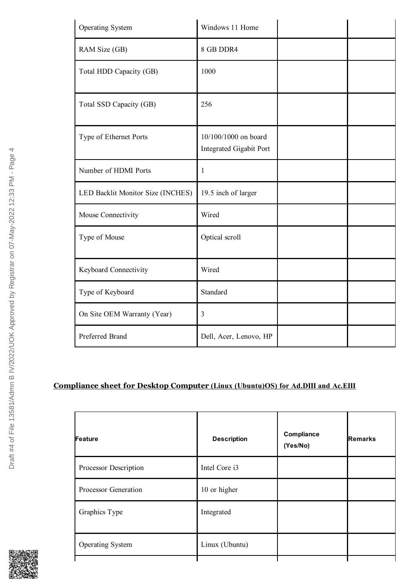| Operating System                  | Windows 11 Home                                        |  |
|-----------------------------------|--------------------------------------------------------|--|
| RAM Size (GB)                     | 8 GB DDR4                                              |  |
| Total HDD Capacity (GB)           | 1000                                                   |  |
| Total SSD Capacity (GB)           | 256                                                    |  |
| Type of Ethernet Ports            | 10/100/1000 on board<br><b>Integrated Gigabit Port</b> |  |
| Number of HDMI Ports              | 1                                                      |  |
| LED Backlit Monitor Size (INCHES) | 19.5 inch of larger                                    |  |
| Mouse Connectivity                | Wired                                                  |  |
| Type of Mouse                     | Optical scroll                                         |  |
| Keyboard Connectivity             | Wired                                                  |  |
| Type of Keyboard                  | Standard                                               |  |
| On Site OEM Warranty (Year)       | 3                                                      |  |
| Preferred Brand                   | Dell, Acer, Lenovo, HP                                 |  |

# **Compliance sheet for Desktop Computer (Linux (Ubuntu)OS) for Ad.DIII and Ac.EIII**

| Feature                 | <b>Description</b> | Compliance<br>(Yes/No) | <b>Remarks</b> |
|-------------------------|--------------------|------------------------|----------------|
| Processor Description   | Intel Core i3      |                        |                |
| Processor Generation    | 10 or higher       |                        |                |
| Graphics Type           | Integrated         |                        |                |
| <b>Operating System</b> | Linux (Ubuntu)     |                        |                |